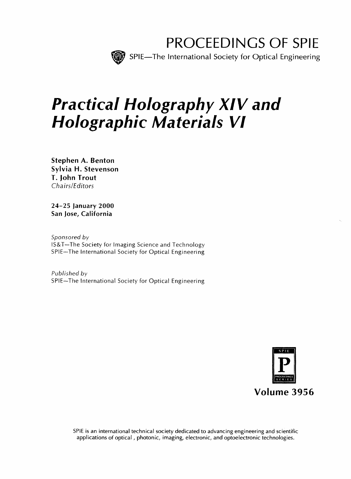

# Practical Holography XIV and Holographic Materials VI

Stephen A. Benton Sylvia H. Stevenson T. John Trout Chairs/Editors

24-25 January 2000 San Jose, California

Sponsored by IS&T—The Society for Imaging Science and Technology SPIE—The International Society for Optical Engineering

Published by SPIE—The International Society for Optical Engineering



SPIE is an international technical society dedicated to advancing engineering and scientific applications of optical, photonic, imaging, electronic, and optoelectronic technologies.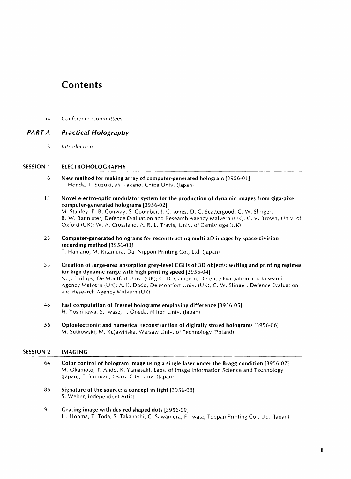# **Contents**

ix Conference Committees

# PART A Practical Holography

3 Introduction

### SESSION <sup>1</sup> ELECTROHOLOGRAPHY

- <sup>6</sup> New method for making array of computer-generated hologram [3956-01] T. Honda, T. Suzuki, M. Takano, Chiba Univ. (Japan)
- <sup>13</sup> Novel electro-optic modulator system for the production of dynamic images from giga-pixel computer-generated holograms [3956-02] M. Stanley, P. B. Conway, S. Coomber, J. C. Jones, D. C. Scattergood, C. W. Slinger, B. W. Bannister, Defence Evaluation and Research Agency Malvern (UK); C. V. Brown, Univ. of Oxford (UK); W. A. Crossland, A. R. L. Travis, Univ. of Cambridge (UK)
- 23 Computer-generated holograms for reconstructing multi 3D images by space-division recording method [3956-03] T. Hamano, M. Kitamura, Dai Nippon Printing Co., Ltd. (Japan)
- <sup>33</sup> Creation of large-area absorption grey-level CGHs of 3D objects: writing and printing regimes for high dynamic range with high printing speed [3956-04] N. J. Phillips, De Montfort Univ. (UK); C. D. Cameron, Defence Evaluation and Research Agency Malvern (UK); A. K. Dodd, De Montfort Univ. (UK); C. W. Slinger, Defence Evaluation and Research Agency Malvern (UK)
- 48 Fast computation of Fresnel holograms employing difference [3956-05] H. Yoshikawa, S. Iwase, T. Oneda, Ninon Univ. (Japan)
- 56 Optoelectronic and numerical reconstruction of digitally stored holograms [3956-06] M. Sutkowski, M. Kujawihska, Warsaw Univ. of Technology (Poland)

#### SESSION 2 IMAGING

- 64 Color control of hologram image using <sup>a</sup> single laser under the Bragg condition [3956-07] M. Okamoto, T. Ando, K. Yamasaki, Labs, of Image Information Science and Technology (Japan); E. Shimizu, Osaka City Univ. (Japan)
- 85 Signature of the source: a concept in light [3956-08] S. Weber, Independent Artist
- 91 Grating image with desired shaped dots [3956-09] H. Honma, T. Toda, S. Takahashi, C. Sawamura, F. Iwata, Toppan Printing Co., Ltd. (Japan)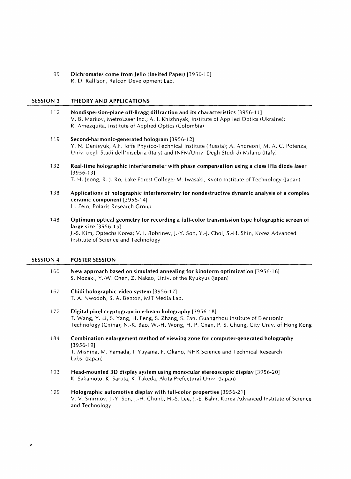99 Dichromates come from Jello (Invited Paper) [3956-10] R. D. Rallison, Ralcon Development Lab.

#### SESSION <sup>3</sup> THEORY AND APPLICATIONS

- 112 Nondispersion-plane off-Bragg diffraction and its characteristics [3956-1 1] V. B. Markov, MetroLaser Inc.; A. 1. Khizhnyak, Institute of Applied Optics (Ukraine); R. Amezquita, Institute of Applied Optics (Colombia)
- 119 Second-harmonic-generated hologram [3956-12] Y. N. Denisyuk, A.F. loffe Physico-Technical Institute (Russia); A. Andreoni, M. A. C. Potenza, Univ. degli Studi dell'Insubria (Italy) and INFM/Univ. Degli Studi di Milano (Italy)
- 132 Real-time holographic interferometer with phase compensation using a class Ilia diode laser [3956-13] T. H. Jeong, R. j. Ro, Lake Forest College; M. Iwasaki, Kyoto Institute of Technology (Japan)
- 138 Applications of holographic interferometry for nondestructive dynamic analysis of a complex ceramic component [3956-14] H. Fein, Polaris Research Group
- 148 Optimum optical geometry for recording a full-color transmission type holographic screen of large size [3956-15] J.-S. Kim, Optechs Korea; V. 1. Bobrinev, J.-Y. Son, Y.-J. Choi, S.-H. Shin, Korea Advanced Institute of Science and Technology

#### SESSION 4 POSTER SESSION

- 160 New approach based on simulated annealing for kinoform optimization [3956-16] S. Nozaki, Y.-W. Chen, Z. Nakao, Univ. of the Ryukyus (Japan)
- 167 Chidi holographic video system [3956-17] T. A. Nwodoh, S. A. Benton, MIT Media Lab.
- 177 Digital pixel cryptogram in e-beam holography [3956-18] T. Wang, Y. Li, S. Yang, H. Feng, S. Zhang, S. Fan, Guangzhou Institute of Electronic Technology (China); N.-K. Bao, W.-H. Wong, H. P. Chan, P. S. Chung, City Univ. of Hong Kong
- <sup>1</sup> 84 Combination enlargement method of viewing zone for computer-generated holography [3956-19] T. Mishina, M. Yamada, I. Yuyama, F. Okano, NHK Science and Technical Research Labs. (Japan)
- <sup>1</sup> 93 Head-mounted 3D display system using monocular stereoscopic display [3956-20] K. Sakamoto, K. Saruta, K. Takeda, Akita Prefectural Univ. (Japan)
- 199 Holographic automotive display with full-color properties [3956-21] V. V. Smirnov, J.-Y. Son, J.-H. Chunb, H.-S. Lee, J.-E. Bahn, Korea Advanced Institute of Science and Technology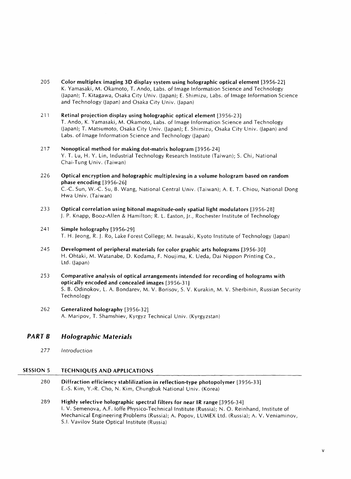- <sup>205</sup> Color multiplex imaging 3D display system using holographic optical element [3956-22] K. Yamasaki, M. Okamoto, T. Ando, Labs, of Image Information Science and Technology (Japan); T. Kitagawa, Osaka City Univ. (Japan); E. Shimizu, Labs, of Image Information Science and Technology (Japan) and Osaka City Univ. (Japan)
- 211 Retinal projection display using holographic optical element [3956-23] T. Ando, K. Yamasaki, M. Okamoto, Labs, of Image Information Science and Technology (Japan); T. Matsumoto, Osaka City Univ. (Japan); E. Shimizu, Osaka City Univ. (Japan) and Labs, of Image Information Science and Technology (Japan)
- 217 Nonoptical method for making dot-matrix hologram [3956-24] Y. T. Lu, H. Y. Lin, Industrial Technology Research Institute (Taiwan); S. Chi, National Chai-Tung Univ. (Taiwan)
- 226 Optical encryption and holographic multiplexing in a volume hologram based on random phase encoding [3956-26] C.-C. Sun, W.-C. Su, B. Wang, National Central Univ. (Taiwan); A. E. T. Chiou, National Dong Hwa Univ. (Taiwan)
- 233 Optical correlation using bitonal magnitude-only spatial light modulators [3956-28] J. P. Knapp, Booz-Allen & Hamilton; R. L. Easton, Jr., Rochester Institute of Technology
- 241 Simple holography [3956-29] T. H. Jeong, R. J. Ro, Lake Forest College; M. Iwasaki, Kyoto Institute of Technology (Japan)
- 245 Development of peripheral materials for color graphic arts holograms [3956-30] H. Ohtaki, M. Watanabe, D. Kodama, F. Noujima, K. Ueda, Dai Nippon Printing Co., Ltd. (Japan)
- 253 Comparative analysis of optical arrangements intended for recording of holograms with optically encoded and concealed images [3956-31] S. B. Odinokov, L. A. Bondarev, M. V. Borisov, S. V. Kurakin, M. V. Sherbinin, Russian Security Technology
- 262 Generalized holography [3956-32] A. Maripov, T. Shamshiev, Kyrgyz Technical Univ. (Kyrgyzstan)

# PART B Holographic Materials

277 Introduction

## SESSION <sup>5</sup> TECHNIQUES AND APPLICATIONS

- 280 Diffraction efficiency stablilization in reflection-type photopolymer [3956-33] E.-S. Kim, Y.-R. Cho, N. Kim, Chungbuk National Univ. (Korea)
- 289 Highly selective holographic spectral filters for near IR range [3956-34] I. V. Semenova, A.F. loffe Physico-Technical Institute (Russia); N. O. Reinhand, Institute of Mechanical Engineering Problems (Russia); A. Popov, LUMEX Ltd. (Russia); A. V. Veniaminov, S.I. Vavilov State Optical Institute (Russia)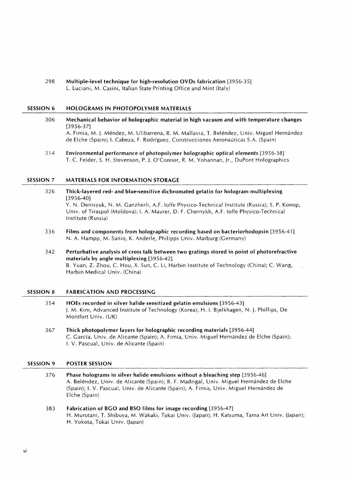298 Multiple-level technique for high-resolution OVDs fabrication [3956-35] L. Luciani, M. Casini, Italian State Printing Office and Mint (Italy)

#### SESSION <sup>6</sup> HOLOGRAMS IN PHOTOPOLYMER MATERIALS

- 306 Mechanical behavior of holographic material in high vacuum and with temperature changes [3956-37] A. Fimia, M. J. Méndez, M. Ulibarrena, R. M. Mallavia, T. Beléndez, Univ. Miguel Hernández de Elche (Spain); 1. Cabeza, F. Rodriguez, Construcciones Aeronauticas S.A. (Spain)
- 314 Environmental performance of photopolymer holographic optical elements [3956-38] T. C. Felder, S. H. Stevenson, P. J. O'Connor, R. M. Yohannan, Jr., DuPont Holographies

#### SESSION 7 MATERIALS FOR INFORMATION STORAGE

- 326 Thick-layered red- and blue-sensitive dichromated gelatin for hologram multiplexing [3956-40] Y. N. Denisyuk, N. M. Ganzherli, A.F. loffe Physico-Technical Institute (Russia); S. P. Konop, Univ. of Tiraspol (Moldova); 1. A. Maurer, D. F. Chernykh, A.F. loffe Physico-Technical Institute (Russia)
- 336 Films and components from holographic recording based on bacteriorhodopsin [3956-41] N. A. Hampp, M. Sanio, K. Anderle, Philipps Univ. Marburg (Germany)
- 342 Perturbative analysis of cross talk between two gratings stored in point of photorefractive materials by angle multiplexing [3956-42] B. Yuan, Z. Zhou, C. Hou, X. Sun, C. Li, Harbin Institute of Technology (China); C. Wang, Harbin Medical Univ. (China)

# SESSION <sup>8</sup> FABRICATION AND PROCESSING

- 354 HOEs recorded in silver halide sensitized gelatin emulsions [3956-43] J. M. Kim, Advanced Institute of Technology (Korea); H. I. Bjelkhagen, N. J. Phillips, De Montfort Univ. (UK)
- 367 Thick photopolymer layers for holographic recording materials [3956-44] C. Garcfa, Univ. de Alicante (Spain); A. Fimia, Univ. Miguel Hernandez de Elche (Spain); I. V. Pascual, Univ. de Alicante (Spain)

# SESSION 9 POSTER SESSION

- 376 Phase holograms in silver halide emulsions without a bleaching step [3956-46] A. Beléndez, Univ. de Alicante (Spain); R. F. Madrigal, Univ. Miguel Hernández de Elche (Spain); I. V. Pascual, Univ. de Alicante (Spain); A. Fimia, Univ. Miguel Hernandez de Elche (Spain)
- <sup>383</sup> Fabrication of BGO and BSO films for image recording [3956-47] H. Murotani, T. Shibuya, M. Wakaki, Tokai Univ. (Japan); H. Katsuma, Tama Art Univ. (Japan); H. Yokota, Tokai Univ. (Japan)